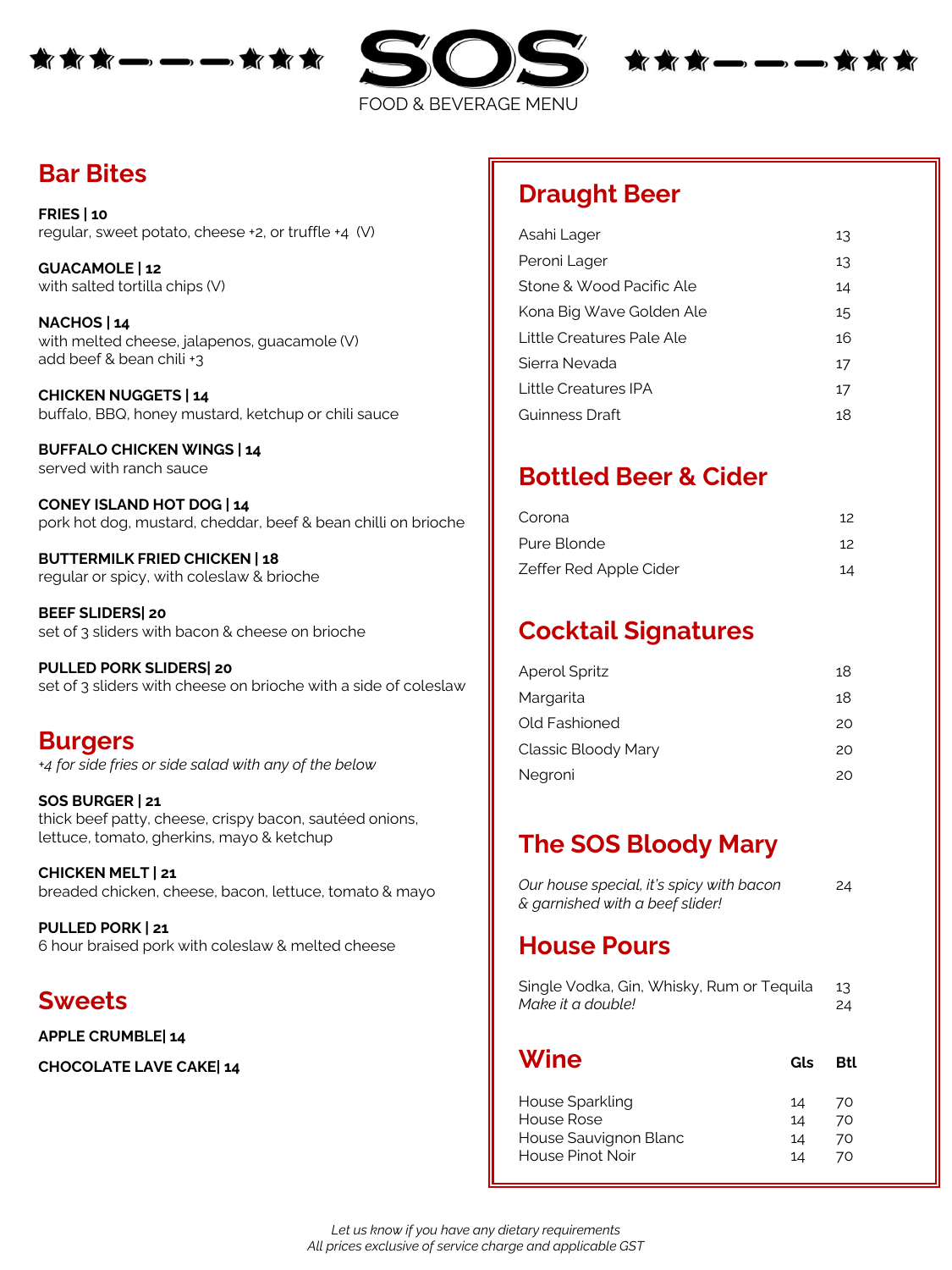





**Bar Bites**

**FRIES | 10** regular, sweet potato, cheese +2, or truffle +4 (V)

**GUACAMOLE | 12** with salted tortilla chips (V)

**NACHOS | 14** with melted cheese, jalapenos, guacamole (V) add beef & bean chili +3

**CHICKEN NUGGETS | 14** buffalo, BBQ, honey mustard, ketchup or chili sauce

**BUFFALO CHICKEN WINGS | 14** served with ranch sauce

**CONEY ISLAND HOT DOG | 14** pork hot dog, mustard, cheddar, beef & bean chilli on brioche

**BUTTERMILK FRIED CHICKEN | 18** regular or spicy, with coleslaw & brioche

**BEEF SLIDERS| 20** set of 3 sliders with bacon & cheese on brioche

**PULLED PORK SLIDERS| 20** set of 3 sliders with cheese on brioche with a side of coleslaw

#### **Burgers**

*+4 for side fries or side salad with any of the below*

**SOS BURGER | 21** thick beef patty, cheese, crispy bacon, sautéed onions, lettuce, tomato, gherkins, mayo & ketchup

**CHICKEN MELT | 21** breaded chicken, cheese, bacon, lettuce, tomato & mayo

**PULLED PORK | 21** 6 hour braised pork with coleslaw & melted cheese

#### **Sweets**

**APPLE CRUMBLE| 14**

**CHOCOLATE LAVE CAKE| 14**

## **Draught Beer**

| Asahi Lager               | 13 |
|---------------------------|----|
| Peroni Lager              | 13 |
| Stone & Wood Pacific Ale  | 14 |
| Kona Big Wave Golden Ale  | 15 |
| Little Creatures Pale Ale | 16 |
| Sierra Nevada             | 17 |
| Little Creatures IPA      | 17 |
| Guinness Draft            | 18 |
|                           |    |

## **Bottled Beer & Cider**

| Corona                 | 12 |
|------------------------|----|
| Pure Blonde            | 12 |
| Zeffer Red Apple Cider | 14 |

# **Cocktail Signatures**

| <b>Aperol Spritz</b> | 18  |
|----------------------|-----|
| Margarita            | 18  |
| Old Fashioned        | 20. |
| Classic Bloody Mary  | 20. |
| Negroni              | 20  |
|                      |     |

# **The SOS Bloody Mary**

| Our house special, it's spicy with bacon | 24 |
|------------------------------------------|----|
| & garnished with a beef slider!          |    |

#### **House Pours**

| Single Vodka, Gin, Whisky, Rum or Tequila<br>Make it a double! |     | 13<br>24 |
|----------------------------------------------------------------|-----|----------|
| Wine                                                           | Gls | Rtl      |
| House Sparkling                                                | 14  | 70       |
| House Rose                                                     | 14  | 70       |
| House Sauvignon Blanc                                          | 14  | 70       |
| <b>House Pinot Noir</b>                                        | 14  | 70       |